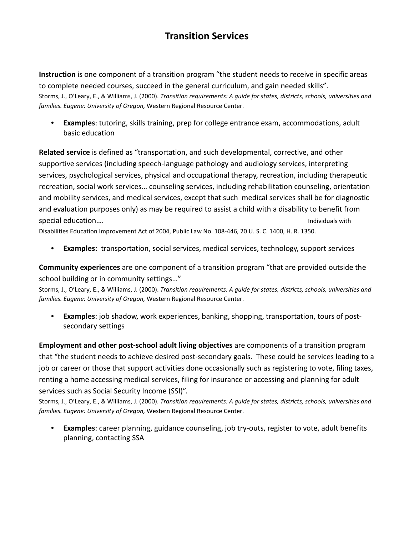## **Transition Services**

**Instruction** is one component of a transition program "the student needs to receive in specific areas to complete needed courses, succeed in the general curriculum, and gain needed skills". Storms, J., O'Leary, E., & Williams, J. (2000). *Transition requirements: A guide for states, districts, schools, universities and families. Eugene: University of Oregon,* Western Regional Resource Center.

• **Examples**: tutoring, skills training, prep for college entrance exam, accommodations, adult basic education

**Related service** is defined as "transportation, and such developmental, corrective, and other supportive services (including speech-language pathology and audiology services, interpreting services, psychological services, physical and occupational therapy, recreation, including therapeutic recreation, social work services… counseling services, including rehabilitation counseling, orientation and mobility services, and medical services, except that such medical services shall be for diagnostic and evaluation purposes only) as may be required to assist a child with a disability to benefit from special education…. **Individuals with**  $\sim$  1.1 and  $\sim$  1.1 and  $\sim$  1.1 and  $\sim$  1.1 and  $\sim$  1.1 and  $\sim$  1.1 and  $\sim$  1.1 and  $\sim$  1.1 and  $\sim$  1.1 and  $\sim$  1.1 and  $\sim$  1.1 and  $\sim$  1.1 and  $\sim$  1.1 and  $\sim$  1.1 and

Disabilities Education Improvement Act of 2004, Public Law No. 108-446, 20 U. S. C. 1400, H. R. 1350.

• **Examples:** transportation, social services, medical services, technology, support services

**Community experiences** are one component of a transition program "that are provided outside the school building or in community settings…"

Storms, J., O'Leary, E., & Williams, J. (2000). *Transition requirements: A guide for states, districts, schools, universities and families. Eugene: University of Oregon,* Western Regional Resource Center.

• **Examples**: job shadow, work experiences, banking, shopping, transportation, tours of postsecondary settings

**Employment and other post-school adult living objectives** are components of a transition program that "the student needs to achieve desired post-secondary goals. These could be services leading to a job or career or those that support activities done occasionally such as registering to vote, filing taxes, renting a home accessing medical services, filing for insurance or accessing and planning for adult services such as Social Security Income (SSI)".

Storms, J., O'Leary, E., & Williams, J. (2000). *Transition requirements: A guide for states, districts, schools, universities and families. Eugene: University of Oregon,* Western Regional Resource Center.

• **Examples**: career planning, guidance counseling, job try-outs, register to vote, adult benefits planning, contacting SSA